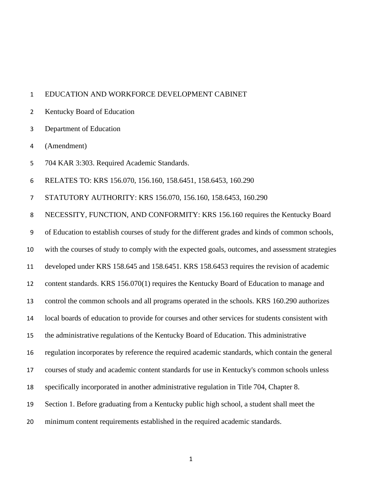## EDUCATION AND WORKFORCE DEVELOPMENT CABINET

- Kentucky Board of Education
- Department of Education
- (Amendment)
- 704 KAR 3:303. Required Academic Standards.
- RELATES TO: KRS 156.070, 156.160, 158.6451, 158.6453, 160.290
- STATUTORY AUTHORITY: KRS 156.070, 156.160, 158.6453, 160.290

NECESSITY, FUNCTION, AND CONFORMITY: KRS 156.160 requires the Kentucky Board

of Education to establish courses of study for the different grades and kinds of common schools,

with the courses of study to comply with the expected goals, outcomes, and assessment strategies

developed under KRS 158.645 and 158.6451. KRS 158.6453 requires the revision of academic

content standards. KRS 156.070(1) requires the Kentucky Board of Education to manage and

control the common schools and all programs operated in the schools. KRS 160.290 authorizes

- local boards of education to provide for courses and other services for students consistent with
- the administrative regulations of the Kentucky Board of Education. This administrative

regulation incorporates by reference the required academic standards, which contain the general

courses of study and academic content standards for use in Kentucky's common schools unless

specifically incorporated in another administrative regulation in Title 704, Chapter 8.

- Section 1. Before graduating from a Kentucky public high school, a student shall meet the
- minimum content requirements established in the required academic standards.